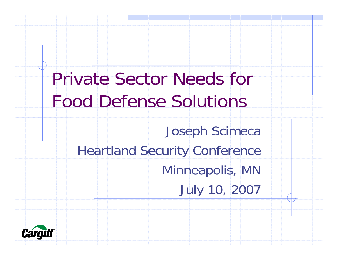Private Sector Needs for Food Defense Solutions Joseph Scimeca Heartland Security Conference Minneapolis, MN July 10, 2007

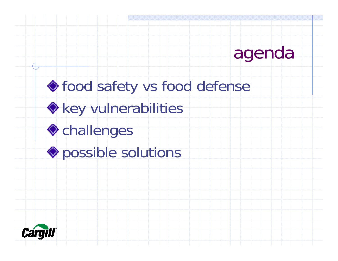## agenda

# $\textcolor{blue}{\blacklozenge}$  food safety vs food defense **Key vulnerabilities ◆**challenges **Possible solutions**

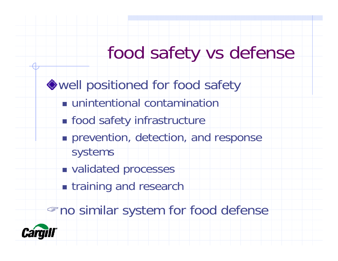## food safety vs defense

well positioned for food safety

- unintentional contamination
- **nd** food safety infrastructure
- **Perion, detection, and response** systems
- **u** validated processes
- **The training and research**

"no similar system for food defense

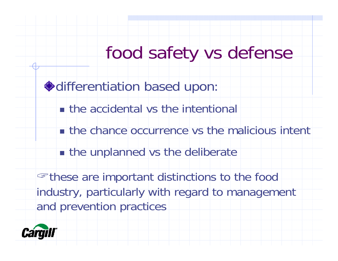## food safety vs defense

differentiation based upon:

- **the accidental vs the intentional**
- **the chance occurrence vs the malicious intent**
- **n** the unplanned vs the deliberate

"these are important distinctions to the food industry, particularly with regard to management and prevention practices

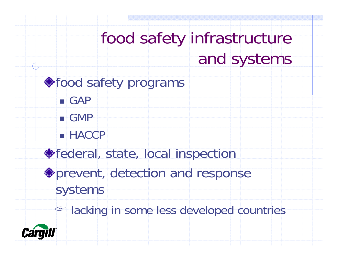## food safety infrastructure and systems

#### ◆food safety programs

- GAP
- GMP
- HACCP
- ◆ federal, state, local inspection
- prevent, detection and response systems
	- **Example 18 in some less developed countries**

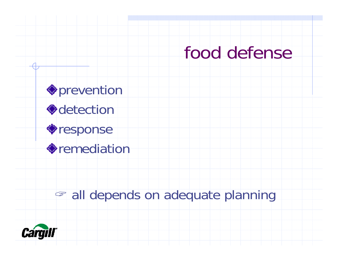#### food defense

**O**prevention detection response remediation

#### " all depends on adequate planning

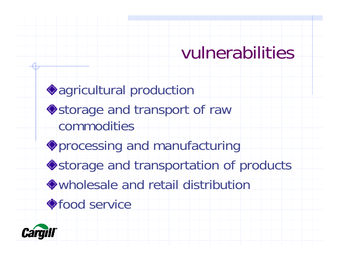### vulnerabilities

agricultural production  $\blacklozenge$ storage and transport of raw commoditiesprocessing and manufacturing **◆**storage and transportation of products wholesale and retail distribution◆food service

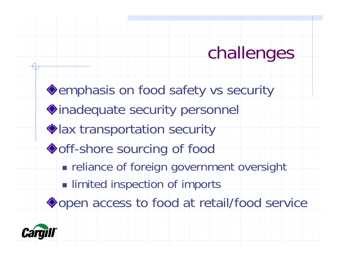## challenges

**Semphasis on food safety vs security** inadequate security personnel lax transportation security ◆ off-shore sourcing of food **Figure 11 Figure 10 Figure 10 Figure 11 Figure 11 Figure 11 Figure 11 Figure 11 Figure 11 Figure 11 Figure 11 Imited inspection of imports** ◆open access to food at retail/food service

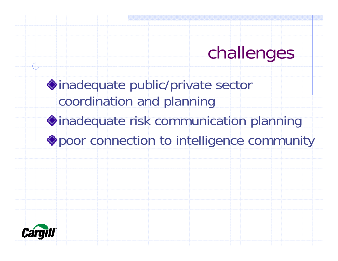## challenges

inadequate public/private sector coordination and planning inadequate risk communication planning poor connection to intelligence community

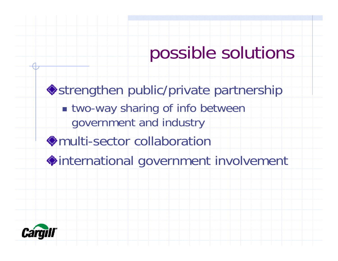strengthen public/private partnership ■ two-way sharing of info between government and industry multi-sector collaborationinternational government involvement

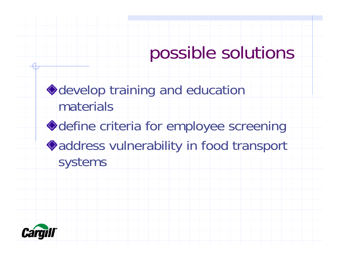develop training and education materialsdefine criteria for employee screening address vulnerability in food transport systems

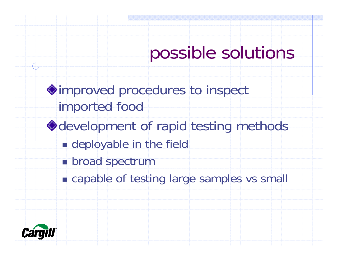improved procedures to inspect imported food **◆ development of rapid testing methods Example of the field Droad spectrum** 

**Example of testing large samples vs small** 

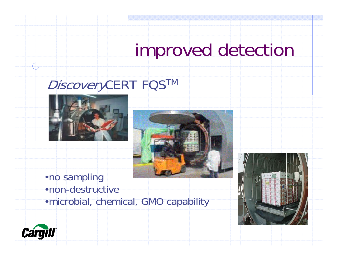## improved detection

#### DiscoveryCERT FQS™





•no sampling •non-destructive •microbial, chemical, GMO capability



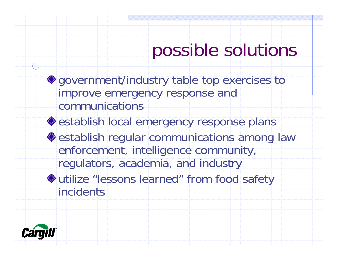government/industry table top exercises to improve emergency response and communications**◆ establish local emergency response plans**  $\triangle$  establish regular communications among law enforcement, intelligence community, regulators, academia, and industry utilize "lessons learned" from food safety incidents